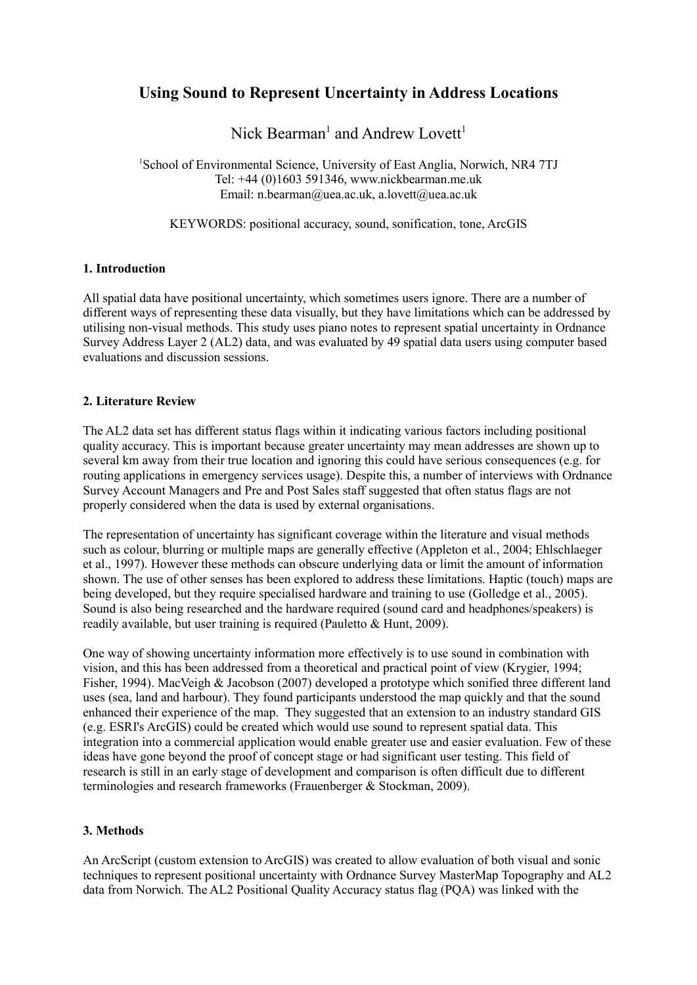# **Using Sound to Represent Uncertainty in Address Locations**

Nick Bearman<sup>1</sup> and Andrew Lovett<sup>1</sup>

<sup>1</sup>School of Environmental Science, University of East Anglia, Norwich, NR4 7TJ Tel: +44 (0)1603 591346, www.nickbearman.me.uk Email: n.bearman@uea.ac.uk, a.lovett@uea.ac.uk

KEYWORDS: positional accuracy, sound, sonification, tone, ArcGIS

## **1. Introduction**

All spatial data have positional uncertainty, which sometimes users ignore. There are a number of different ways of representing these data visually, but they have limitations which can be addressed by utilising non-visual methods. This study uses piano notes to represent spatial uncertainty in Ordnance Survey Address Layer 2 (AL2) data, and was evaluated by 49 spatial data users using computer based evaluations and discussion sessions.

## **2. Literature Review**

The AL2 data set has different status flags within it indicating various factors including positional quality accuracy. This is important because greater uncertainty may mean addresses are shown up to several km away from their true location and ignoring this could have serious consequences (e.g. for routing applications in emergency services usage). Despite this, a number of interviews with Ordnance Survey Account Managers and Pre and Post Sales staff suggested that often status flags are not properly considered when the data is used by external organisations.

The representation of uncertainty has significant coverage within the literature and visual methods such as colour, blurring or multiple maps are generally effective (Appleton et al., 2004; Ehlschlaeger et al., 1997). However these methods can obscure underlying data or limit the amount of information shown. The use of other senses has been explored to address these limitations. Haptic (touch) maps are being developed, but they require specialised hardware and training to use (Golledge et al., 2005). Sound is also being researched and the hardware required (sound card and headphones/speakers) is readily available, but user training is required (Pauletto & Hunt, 2009).

One way of showing uncertainty information more effectively is to use sound in combination with vision, and this has been addressed from a theoretical and practical point of view (Krygier, 1994; Fisher, 1994). MacVeigh & Jacobson (2007) developed a prototype which sonified three different land uses (sea, land and harbour). They found participants understood the map quickly and that the sound enhanced their experience of the map. They suggested that an extension to an industry standard GIS (e.g. ESRI's ArcGIS) could be created which would use sound to represent spatial data. This integration into a commercial application would enable greater use and easier evaluation. Few of these ideas have gone beyond the proof of concept stage or had significant user testing. This field of research is still in an early stage of development and comparison is often difficult due to different terminologies and research frameworks (Frauenberger & Stockman, 2009).

# **3. Methods**

An ArcScript (custom extension to ArcGIS) was created to allow evaluation of both visual and sonic techniques to represent positional uncertainty with Ordnance Survey MasterMap Topography and AL2 data from Norwich. The AL2 Positional Quality Accuracy status flag (PQA) was linked with the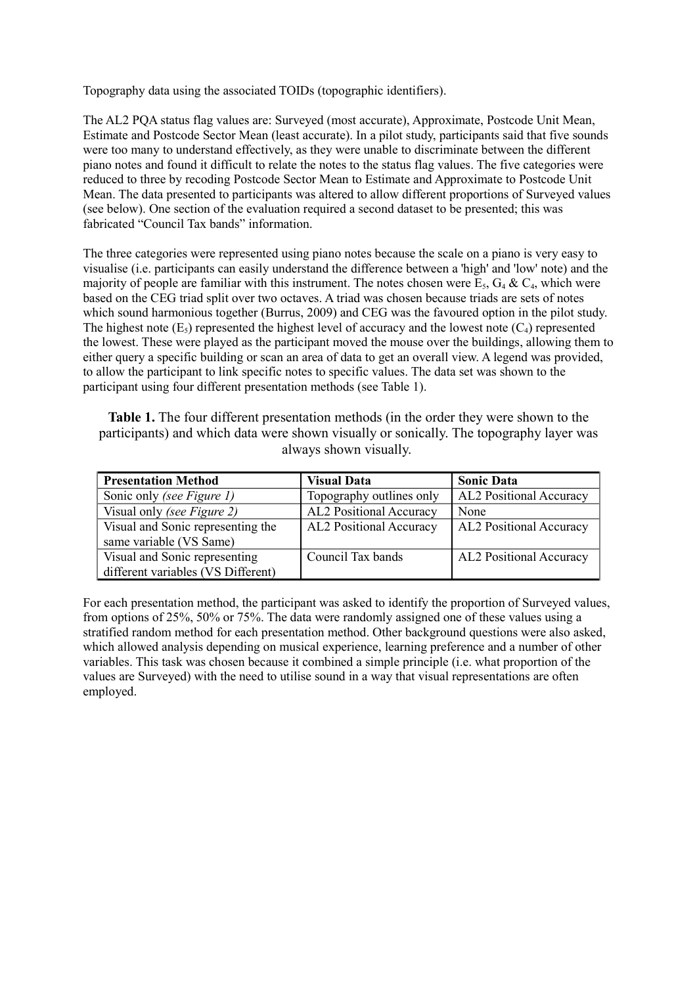Topography data using the associated TOIDs (topographic identifiers).

The AL2 PQA status flag values are: Surveyed (most accurate), Approximate, Postcode Unit Mean, Estimate and Postcode Sector Mean (least accurate). In a pilot study, participants said that five sounds were too many to understand effectively, as they were unable to discriminate between the different piano notes and found it difficult to relate the notes to the status flag values. The five categories were reduced to three by recoding Postcode Sector Mean to Estimate and Approximate to Postcode Unit Mean. The data presented to participants was altered to allow different proportions of Surveyed values (see below). One section of the evaluation required a second dataset to be presented; this was fabricated "Council Tax bands" information.

The three categories were represented using piano notes because the scale on a piano is very easy to visualise (i.e. participants can easily understand the difference between a 'high' and 'low' note) and the majority of people are familiar with this instrument. The notes chosen were  $E_5$ ,  $G_4 \& C_4$ , which were based on the CEG triad split over two octaves. A triad was chosen because triads are sets of notes which sound harmonious together (Burrus, 2009) and CEG was the favoured option in the pilot study. The highest note  $(E_5)$  represented the highest level of accuracy and the lowest note  $(C_4)$  represented the lowest. These were played as the participant moved the mouse over the buildings, allowing them to either query a specific building or scan an area of data to get an overall view. A legend was provided, to allow the participant to link specific notes to specific values. The data set was shown to the participant using four different presentation methods (see Table 1).

**Table 1.** The four different presentation methods (in the order they were shown to the participants) and which data were shown visually or sonically. The topography layer was always shown visually.

| <b>Presentation Method</b>         | <b>Visual Data</b>             | <b>Sonic Data</b>              |
|------------------------------------|--------------------------------|--------------------------------|
| Sonic only (see Figure 1)          | Topography outlines only       | <b>AL2 Positional Accuracy</b> |
| Visual only <i>(see Figure 2)</i>  | <b>AL2</b> Positional Accuracy | None                           |
| Visual and Sonic representing the  | AL2 Positional Accuracy        | <b>AL2</b> Positional Accuracy |
| same variable (VS Same)            |                                |                                |
| Visual and Sonic representing      | Council Tax bands              | AL2 Positional Accuracy        |
| different variables (VS Different) |                                |                                |

For each presentation method, the participant was asked to identify the proportion of Surveyed values, from options of 25%, 50% or 75%. The data were randomly assigned one of these values using a stratified random method for each presentation method. Other background questions were also asked, which allowed analysis depending on musical experience, learning preference and a number of other variables. This task was chosen because it combined a simple principle (i.e. what proportion of the values are Surveyed) with the need to utilise sound in a way that visual representations are often employed.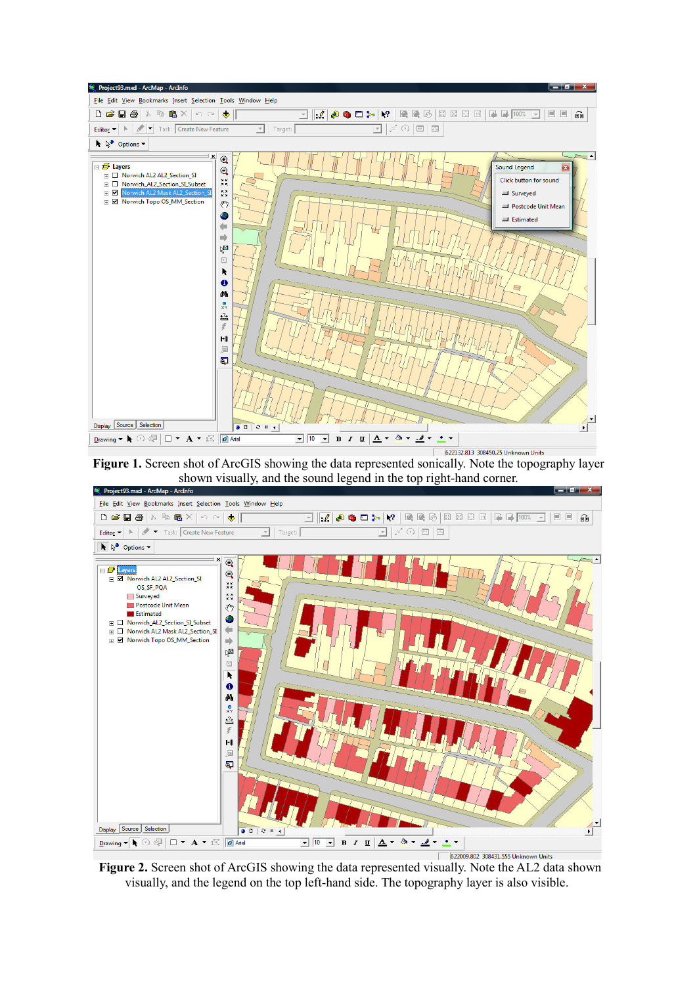

**Figure 1.** Screen shot of ArcGIS showing the data represented sonically. Note the topography layer shown visually, and the sound legend in the top right-hand corner.



**Figure 2.** Screen shot of ArcGIS showing the data represented visually. Note the AL2 data shown visually, and the legend on the top left-hand side. The topography layer is also visible.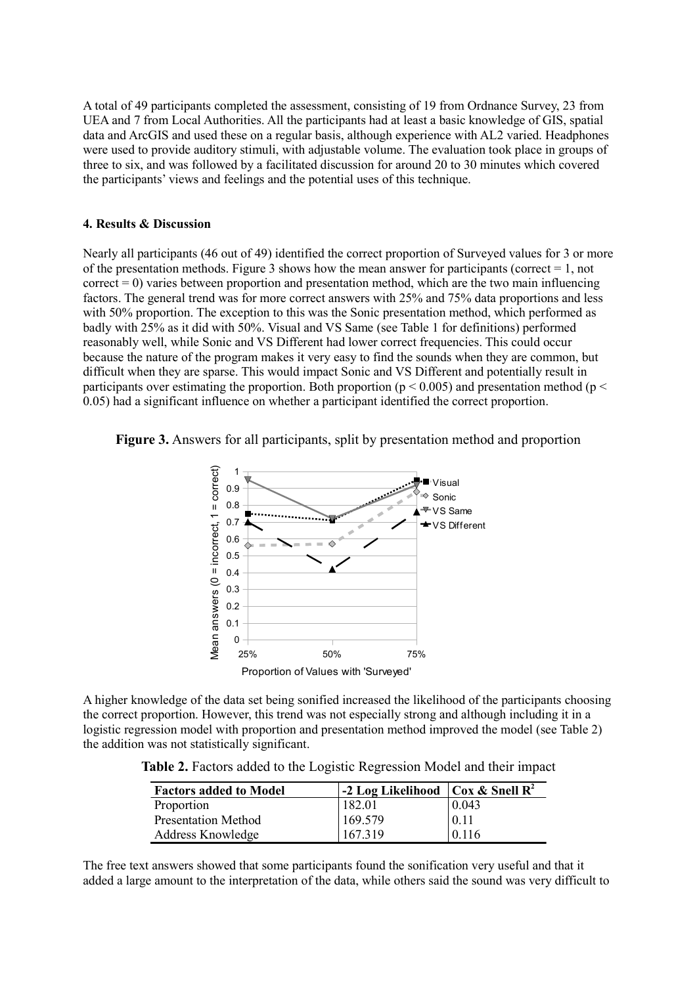A total of 49 participants completed the assessment, consisting of 19 from Ordnance Survey, 23 from UEA and 7 from Local Authorities. All the participants had at least a basic knowledge of GIS, spatial data and ArcGIS and used these on a regular basis, although experience with AL2 varied. Headphones were used to provide auditory stimuli, with adjustable volume. The evaluation took place in groups of three to six, and was followed by a facilitated discussion for around 20 to 30 minutes which covered the participants' views and feelings and the potential uses of this technique.

#### **4. Results & Discussion**

Nearly all participants (46 out of 49) identified the correct proportion of Surveyed values for 3 or more of the presentation methods. Figure 3 shows how the mean answer for participants (correct  $= 1$ , not  $correct = 0$ ) varies between proportion and presentation method, which are the two main influencing factors. The general trend was for more correct answers with 25% and 75% data proportions and less with 50% proportion. The exception to this was the Sonic presentation method, which performed as badly with 25% as it did with 50%. Visual and VS Same (see Table 1 for definitions) performed reasonably well, while Sonic and VS Different had lower correct frequencies. This could occur because the nature of the program makes it very easy to find the sounds when they are common, but difficult when they are sparse. This would impact Sonic and VS Different and potentially result in participants over estimating the proportion. Both proportion ( $p < 0.005$ ) and presentation method ( $p <$ 0.05) had a significant influence on whether a participant identified the correct proportion.

**Figure 3.** Answers for all participants, split by presentation method and proportion



A higher knowledge of the data set being sonified increased the likelihood of the participants choosing the correct proportion. However, this trend was not especially strong and although including it in a logistic regression model with proportion and presentation method improved the model (see Table 2) the addition was not statistically significant.

**Table 2.** Factors added to the Logistic Regression Model and their impact

| <b>Factors added to Model</b> | -2 Log Likelihood   Cox & Snell $\mathbb{R}^2$ |       |
|-------------------------------|------------------------------------------------|-------|
| Proportion                    | 182.01                                         | 0.043 |
| <b>Presentation Method</b>    | 169.579                                        | 0.11  |
| Address Knowledge             | 167.319                                        | 0.116 |

The free text answers showed that some participants found the sonification very useful and that it added a large amount to the interpretation of the data, while others said the sound was very difficult to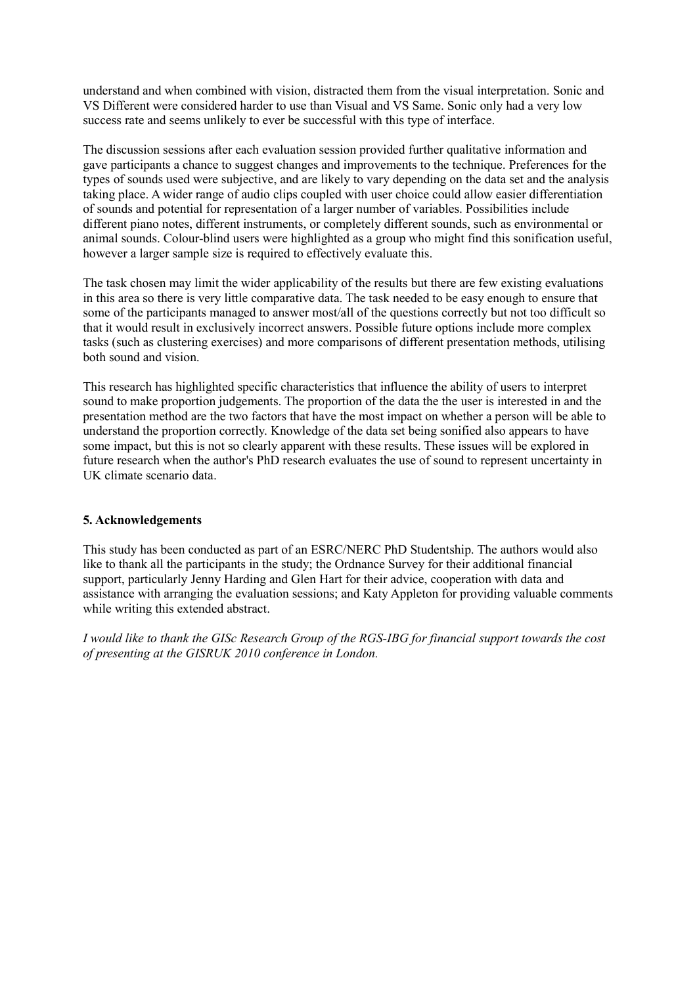understand and when combined with vision, distracted them from the visual interpretation. Sonic and VS Different were considered harder to use than Visual and VS Same. Sonic only had a very low success rate and seems unlikely to ever be successful with this type of interface.

The discussion sessions after each evaluation session provided further qualitative information and gave participants a chance to suggest changes and improvements to the technique. Preferences for the types of sounds used were subjective, and are likely to vary depending on the data set and the analysis taking place. A wider range of audio clips coupled with user choice could allow easier differentiation of sounds and potential for representation of a larger number of variables. Possibilities include different piano notes, different instruments, or completely different sounds, such as environmental or animal sounds. Colour-blind users were highlighted as a group who might find this sonification useful, however a larger sample size is required to effectively evaluate this.

The task chosen may limit the wider applicability of the results but there are few existing evaluations in this area so there is very little comparative data. The task needed to be easy enough to ensure that some of the participants managed to answer most/all of the questions correctly but not too difficult so that it would result in exclusively incorrect answers. Possible future options include more complex tasks (such as clustering exercises) and more comparisons of different presentation methods, utilising both sound and vision.

This research has highlighted specific characteristics that influence the ability of users to interpret sound to make proportion judgements. The proportion of the data the the user is interested in and the presentation method are the two factors that have the most impact on whether a person will be able to understand the proportion correctly. Knowledge of the data set being sonified also appears to have some impact, but this is not so clearly apparent with these results. These issues will be explored in future research when the author's PhD research evaluates the use of sound to represent uncertainty in UK climate scenario data.

# **5. Acknowledgements**

This study has been conducted as part of an ESRC/NERC PhD Studentship. The authors would also like to thank all the participants in the study; the Ordnance Survey for their additional financial support, particularly Jenny Harding and Glen Hart for their advice, cooperation with data and assistance with arranging the evaluation sessions; and Katy Appleton for providing valuable comments while writing this extended abstract.

*I would like to thank the GISc Research Group of the RGS-IBG for financial support towards the cost of presenting at the GISRUK 2010 conference in London.*